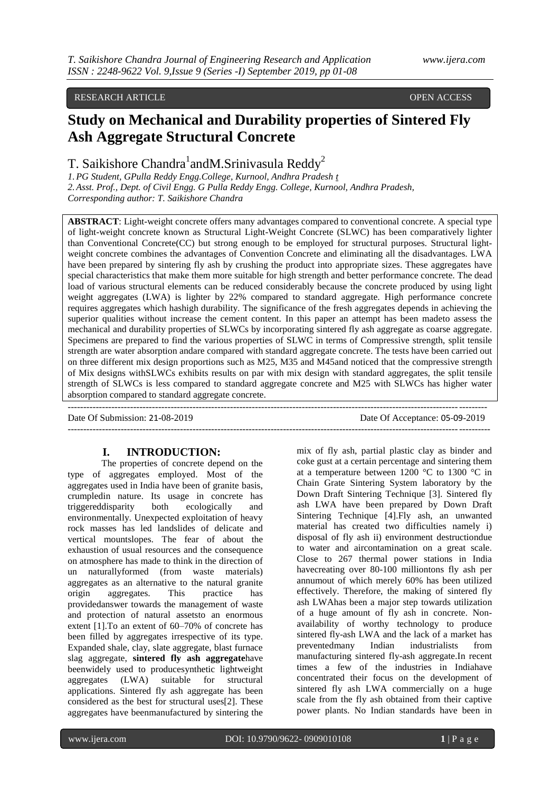## RESEARCH ARTICLE **OPEN ACCESS**

# **Study on Mechanical and Durability properties of Sintered Fly Ash Aggregate Structural Concrete**

# T. Saikishore Chandra<sup>1</sup>andM.Srinivasula Reddy<sup>2</sup>

*1.PG Student, GPulla Reddy Engg.College, Kurnool, Andhra Pradesh [t](mailto:t.saikishore184@gmail.com) 2.Asst. Prof., Dept. of Civil Engg. G Pulla Reddy Engg. College, Kurnool, Andhra Pradesh, Corresponding author: T. Saikishore Chandra*

**ABSTRACT**: Light-weight concrete offers many advantages compared to conventional concrete. A special type of light-weight concrete known as Structural Light-Weight Concrete (SLWC) has been comparatively lighter than Conventional Concrete(CC) but strong enough to be employed for structural purposes. Structural lightweight concrete combines the advantages of Convention Concrete and eliminating all the disadvantages. LWA have been prepared by sintering fly ash by crushing the product into appropriate sizes. These aggregates have special characteristics that make them more suitable for high strength and better performance concrete. The dead load of various structural elements can be reduced considerably because the concrete produced by using light weight aggregates (LWA) is lighter by 22% compared to standard aggregate. High performance concrete requires aggregates which hashigh durability. The significance of the fresh aggregates depends in achieving the superior qualities without increase the cement content. In this paper an attempt has been madeto assess the mechanical and durability properties of SLWCs by incorporating sintered fly ash aggregate as coarse aggregate. Specimens are prepared to find the various properties of SLWC in terms of Compressive strength, split tensile strength are water absorption andare compared with standard aggregate concrete. The tests have been carried out on three different mix design proportions such as M25, M35 and M45and noticed that the compressive strength of Mix designs withSLWCs exhibits results on par with mix design with standard aggregates, the split tensile strength of SLWCs is less compared to standard aggregate concrete and M25 with SLWCs has higher water absorption compared to standard aggregate concrete.

--------------------------------------------------------------------------------------------------------------------------------------

Date Of Submission: 21-08-2019 Date Of Acceptance: 05-09-2019

# **I. INTRODUCTION:**

The properties of concrete depend on the type of aggregates employed. Most of the aggregates used in India have been of granite basis, crumpledin nature. Its usage in concrete has triggereddisparity both ecologically and environmentally. Unexpected exploitation of heavy rock masses has led landslides of delicate and vertical mountslopes. The fear of about the exhaustion of usual resources and the consequence on atmosphere has made to think in the direction of un naturallyformed (from waste materials) aggregates as an alternative to the natural granite origin aggregates. This practice has providedanswer towards the management of waste and protection of natural assetsto an enormous extent [1].To an extent of 60–70% of concrete has been filled by aggregates irrespective of its type. Expanded shale, clay, slate aggregate, blast furnace slag aggregate, **sintered fly ash aggregate**have beenwidely used to producesynthetic lightweight aggregates (LWA) suitable for structural applications. Sintered fly ash aggregate has been considered as the best for structural uses[2]. These aggregates have beenmanufactured by sintering the

---------------------------------------------------------------------------------------------------------------------------------------

mix of fly ash, partial plastic clay as binder and coke gust at a certain percentage and sintering them at a temperature between 1200 °C to 1300 °C in Chain Grate Sintering System laboratory by the Down Draft Sintering Technique [3]. Sintered fly ash LWA have been prepared by Down Draft Sintering Technique [4].Fly ash, an unwanted material has created two difficulties namely i) disposal of fly ash ii) environment destructiondue to water and aircontamination on a great scale. Close to 267 thermal power stations in India havecreating over 80-100 milliontons fly ash per annumout of which merely 60% has been utilized effectively. Therefore, the making of sintered fly ash LWAhas been a major step towards utilization of a huge amount of fly ash in concrete. Nonavailability of worthy technology to produce sintered fly-ash LWA and the lack of a market has preventedmany Indian industrialists from manufacturing sintered fly-ash aggregate.In recent times a few of the industries in Indiahave concentrated their focus on the development of sintered fly ash LWA commercially on a huge scale from the fly ash obtained from their captive power plants. No Indian standards have been in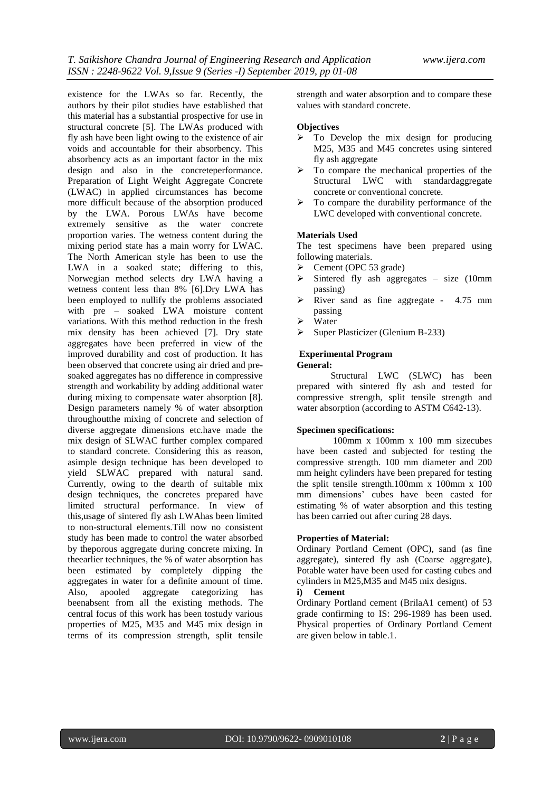existence for the LWAs so far. Recently, the authors by their pilot studies have established that this material has a substantial prospective for use in structural concrete [5]. The LWAs produced with fly ash have been light owing to the existence of air voids and accountable for their absorbency. This absorbency acts as an important factor in the mix design and also in the concreteperformance. Preparation of Light Weight Aggregate Concrete (LWAC) in applied circumstances has become more difficult because of the absorption produced by the LWA. Porous LWAs have become extremely sensitive as the water concrete proportion varies. The wetness content during the mixing period state has a main worry for LWAC. The North American style has been to use the LWA in a soaked state; differing to this, Norwegian method selects dry LWA having a wetness content less than 8% [6].Dry LWA has been employed to nullify the problems associated with pre – soaked LWA moisture content variations. With this method reduction in the fresh mix density has been achieved [7]. Dry state aggregates have been preferred in view of the improved durability and cost of production. It has been observed that concrete using air dried and presoaked aggregates has no difference in compressive strength and workability by adding additional water during mixing to compensate water absorption [8]. Design parameters namely % of water absorption throughoutthe mixing of concrete and selection of diverse aggregate dimensions etc.have made the mix design of SLWAC further complex compared to standard concrete. Considering this as reason, asimple design technique has been developed to yield SLWAC prepared with natural sand. Currently, owing to the dearth of suitable mix design techniques, the concretes prepared have limited structural performance. In view of this,usage of sintered fly ash LWAhas been limited to non-structural elements.Till now no consistent study has been made to control the water absorbed by theporous aggregate during concrete mixing. In theearlier techniques, the % of water absorption has been estimated by completely dipping the aggregates in water for a definite amount of time. Also, apooled aggregate categorizing has beenabsent from all the existing methods. The central focus of this work has been tostudy various properties of M25, M35 and M45 mix design in terms of its compression strength, split tensile

strength and water absorption and to compare these values with standard concrete.

#### **Objectives**

- $\triangleright$  To Develop the mix design for producing M25, M35 and M45 concretes using sintered fly ash aggregate
- To compare the mechanical properties of the Structural LWC with standardaggregate concrete or conventional concrete.
- $\triangleright$  To compare the durability performance of the LWC developed with conventional concrete.

#### **Materials Used**

The test specimens have been prepared using following materials.

- $\triangleright$  Cement (OPC 53 grade)
- $\triangleright$  Sintered fly ash aggregates size (10mm) passing)
- River sand as fine aggregate 4.75 mm passing
- Water
- $\triangleright$  Super Plasticizer (Glenium B-233)

# **Experimental Program**

## **General:**

Structural LWC (SLWC) has been prepared with sintered fly ash and tested for compressive strength, split tensile strength and water absorption (according to ASTM C642-13).

#### **Specimen specifications:**

100mm x 100mm x 100 mm sizecubes have been casted and subjected for testing the compressive strength. 100 mm diameter and 200 mm height cylinders have been prepared for testing the split tensile strength.100mm x 100mm x 100 mm dimensions' cubes have been casted for estimating % of water absorption and this testing has been carried out after curing 28 days.

#### **Properties of Material:**

Ordinary Portland Cement (OPC), sand (as fine aggregate), sintered fly ash (Coarse aggregate), Potable water have been used for casting cubes and cylinders in M25,M35 and M45 mix designs.

# **i) Cement**

Ordinary Portland cement (BrilaA1 cement) of 53 grade confirming to IS: 296-1989 has been used. Physical properties of Ordinary Portland Cement are given below in table.1.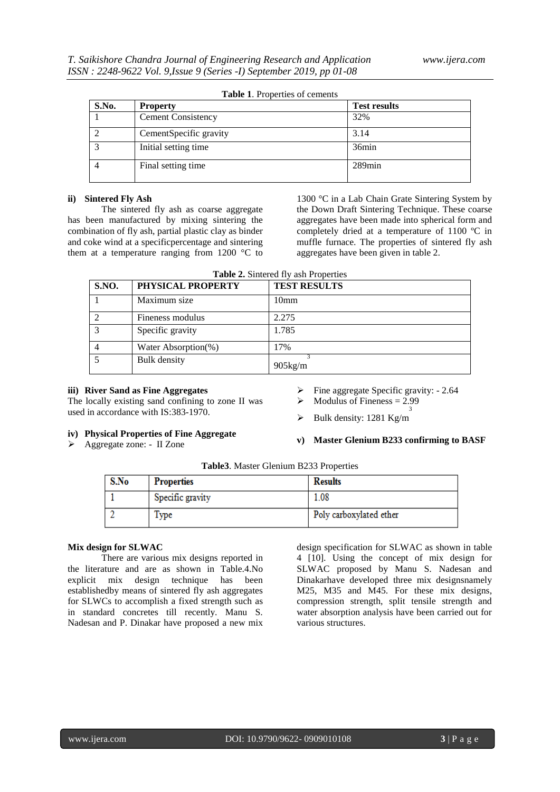| S.No. | <b>Property</b>           | <b>Test results</b> |
|-------|---------------------------|---------------------|
|       | <b>Cement Consistency</b> | 32%                 |
|       | CementSpecific gravity    | 3.14                |
|       | Initial setting time      | 36min               |
|       | Final setting time        | $289$ min           |

**Table 1**. Properties of cements

#### **ii) Sintered Fly Ash**

The sintered fly ash as coarse aggregate has been manufactured by mixing sintering the combination of fly ash, partial plastic clay as binder and coke wind at a specificpercentage and sintering them at a temperature ranging from 1200 °C to 1300 °C in a Lab Chain Grate Sintering System by the Down Draft Sintering Technique. These coarse aggregates have been made into spherical form and completely dried at a temperature of 1100 ºC in muffle furnace. The properties of sintered fly ash aggregates have been given in table 2.

|  |  |  | <b>Table 2.</b> Sintered fly ash Properties |
|--|--|--|---------------------------------------------|
|--|--|--|---------------------------------------------|

| S.NO. | PHYSICAL PROPERTY   | <b>TEST RESULTS</b> |
|-------|---------------------|---------------------|
|       | Maximum size        | 10 <sub>mm</sub>    |
|       | Fineness modulus    | 2.275               |
|       | Specific gravity    | 1.785               |
|       | Water Absorption(%) | 17%                 |
|       | <b>Bulk</b> density | $905$ kg/m          |

#### **iii) River Sand as Fine Aggregates**

The locally existing sand confining to zone II was used in accordance with IS:383-1970.

#### **iv) Physical Properties of Fine Aggregate**

Aggregate zone: - II Zone

- Fine aggregate Specific gravity: 2.64
- $\triangleright$  Modulus of Fineness = 2.99 3
- $\triangleright$  Bulk density: 1281 Kg/m

#### **v) Master Glenium B233 confirming to BASF**

|  |  |  |  | Table3. Master Glenium B233 Properties |
|--|--|--|--|----------------------------------------|
|--|--|--|--|----------------------------------------|

| S.No | <b>Properties</b> | <b>Results</b>          |
|------|-------------------|-------------------------|
|      | Specific gravity  | 1.08                    |
|      | Type              | Poly carboxylated ether |

#### **Mix design for SLWAC**

There are various mix designs reported in the literature and are as shown in Table.4.No explicit mix design technique has been establishedby means of sintered fly ash aggregates for SLWCs to accomplish a fixed strength such as in standard concretes till recently. Manu S. Nadesan and P. Dinakar have proposed a new mix design specification for SLWAC as shown in table 4 [10]. Using the concept of mix design for SLWAC proposed by Manu S. Nadesan and Dinakarhave developed three mix designsnamely M25, M35 and M45. For these mix designs, compression strength, split tensile strength and water absorption analysis have been carried out for various structures.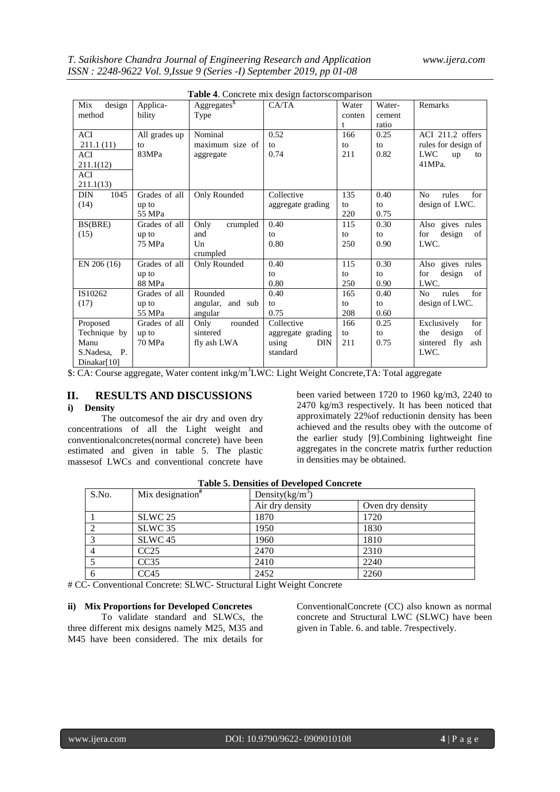|                    |               | <b>Table 4.</b> Concrete mix design factorscomparison |                     |        |        |                                |
|--------------------|---------------|-------------------------------------------------------|---------------------|--------|--------|--------------------------------|
| design<br>Mix      | Applica-      | Aggregates <sup>\$</sup>                              | CA/TA               | Water  | Water- | Remarks                        |
| method             | bility        | Type                                                  |                     | conten | cement |                                |
|                    |               |                                                       |                     | t      | ratio  |                                |
| ACI                | All grades up | Nominal                                               | 0.52                | 166    | 0.25   | ACI 211.2 offers               |
| 211.1(11)          | to            | maximum size of                                       | to                  | to     | to     | rules for design of            |
| ACI                | 83MPa         | aggregate                                             | 0.74                | 211    | 0.82   | <b>LWC</b><br>up<br>to         |
| 211.1(12)          |               |                                                       |                     |        |        | 41MPa.                         |
| ACI                |               |                                                       |                     |        |        |                                |
| 211.1(13)          |               |                                                       |                     |        |        |                                |
| <b>DIN</b><br>1045 | Grades of all | Only Rounded                                          | Collective          | 135    | 0.40   | for<br>N <sub>0</sub><br>rules |
| (14)               | up to         |                                                       | aggregate grading   | to     | to     | design of LWC.                 |
|                    | 55 MPa        |                                                       |                     | 220    | 0.75   |                                |
| BS(BRE)            | Grades of all | Only<br>crumpled                                      | 0.40                | 115    | 0.30   | Also gives rules               |
| (15)               | up to         | and                                                   | to                  | to     | to     | for<br>design<br>of            |
|                    | 75 MPa        | U <sub>n</sub>                                        | 0.80                | 250    | 0.90   | LWC.                           |
|                    |               | crumpled                                              |                     |        |        |                                |
| EN 206 (16)        | Grades of all | Only Rounded                                          | 0.40                | 115    | 0.30   | Also gives rules               |
|                    | up to         |                                                       | to                  | to     | to     | for<br>design<br>of            |
|                    | 88 MPa        |                                                       | 0.80                | 250    | 0.90   | LWC.                           |
| IS10262            | Grades of all | Rounded                                               | 0.40                | 165    | 0.40   | for<br>N <sub>0</sub><br>rules |
| (17)               | up to         | angular, and sub                                      | to                  | to     | to     | design of LWC.                 |
|                    | 55 MPa        | angular                                               | 0.75                | 208    | 0.60   |                                |
| Proposed           | Grades of all | rounded<br>Only                                       | Collective          | 166    | 0.25   | for<br>Exclusively             |
| Technique by       | up to         | sintered                                              | aggregate grading   | to     | to     | design<br>of<br>the            |
| Manu               | 70 MPa        | fly ash LWA                                           | using<br><b>DIN</b> | 211    | 0.75   | sintered fly<br>ash            |
| S.Nadesa, P.       |               |                                                       | standard            |        |        | LWC.                           |
| Dinakar[10]        |               |                                                       |                     |        |        |                                |

|  |  | Table 4. Concrete mix design factorscomparison |  |
|--|--|------------------------------------------------|--|
|  |  |                                                |  |

\$: CA: Course aggregate, Water content inkg/m<sup>3</sup>LWC: Light Weight Concrete,TA: Total aggregate

# **II. RESULTS AND DISCUSSIONS**

# **i) Density**

The outcomesof the air dry and oven dry concentrations of all the Light weight and conventionalconcretes(normal concrete) have been estimated and given in table 5. The plastic massesof LWCs and conventional concrete have

been varied between 1720 to 1960 kg/m3, 2240 to 2470 kg/m3 respectively. It has been noticed that approximately 22%of reductionin density has been achieved and the results obey with the outcome of the earlier study [9].Combining lightweight fine aggregates in the concrete matrix further reduction in densities may be obtained.

| S.No. | Mix designation <sup>#</sup> | Density $(kg/m^3)$ |                  |  |
|-------|------------------------------|--------------------|------------------|--|
|       |                              | Air dry density    | Oven dry density |  |
|       | SLWC 25                      | 1870               | 1720             |  |
|       | SLWC 35                      | 1950               | 1830             |  |
|       | SLWC <sub>45</sub>           | 1960               | 1810             |  |
|       | CC25                         | 2470               | 2310             |  |
|       | CC35                         | 2410               | 2240             |  |
|       | CC45                         | 2452               | 2260             |  |

|  |  | <b>Table 5. Densities of Developed Concrete</b> |  |
|--|--|-------------------------------------------------|--|
|--|--|-------------------------------------------------|--|

# CC- Conventional Concrete: SLWC- Structural Light Weight Concrete

## **ii) Mix Proportions for Developed Concretes**

To validate standard and SLWCs, the three different mix designs namely M25, M35 and M45 have been considered. The mix details for

ConventionalConcrete (CC) also known as normal concrete and Structural LWC (SLWC) have been given in Table. 6. and table. 7respectively.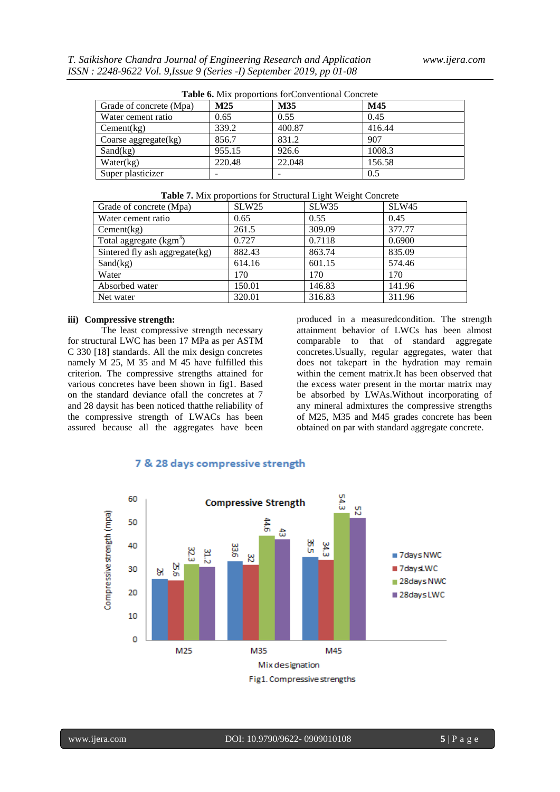| <b>Table 6.</b> MIX proportions for Conventional Concrete |        |        |        |  |
|-----------------------------------------------------------|--------|--------|--------|--|
| Grade of concrete (Mpa)                                   | M25    | M35    | M45    |  |
| Water cement ratio                                        | 0.65   | 0.55   | 0.45   |  |
| Cement(kg)                                                | 339.2  | 400.87 | 416.44 |  |
| Coarse aggregate $(kg)$                                   | 856.7  | 831.2  | 907    |  |
| Sand(kg)                                                  | 955.15 | 926.6  | 1008.3 |  |
| Water(kg)                                                 | 220.48 | 22.048 | 156.58 |  |
| Super plasticizer                                         |        |        | 0.5    |  |

| Grade of concrete (Mpa)             | SLW <sub>25</sub> | SLW35  | <b>SLW45</b> |
|-------------------------------------|-------------------|--------|--------------|
| Water cement ratio                  | 0.65              | 0.55   | 0.45         |
| Cement(kg)                          | 261.5             | 309.09 | 377.77       |
| Total aggregate (kgm <sup>3</sup> ) | 0.727             | 0.7118 | 0.6900       |
| Sintered fly ash aggregate(kg)      | 882.43            | 863.74 | 835.09       |
| Sand(kg)                            | 614.16            | 601.15 | 574.46       |
| Water                               | 170               | 170    | 170          |
| Absorbed water                      | 150.01            | 146.83 | 141.96       |
| Net water                           | 320.01            | 316.83 | 311.96       |

#### **iii) Compressive strength:**

The least compressive strength necessary for structural LWC has been 17 MPa as per ASTM C 330 [18] standards. All the mix design concretes namely M 25, M 35 and M 45 have fulfilled this criterion. The compressive strengths attained for various concretes have been shown in fig1. Based on the standard deviance ofall the concretes at 7 and 28 daysit has been noticed thatthe reliability of the compressive strength of LWACs has been assured because all the aggregates have been

produced in a measuredcondition. The strength attainment behavior of LWCs has been almost comparable to that of standard aggregate concretes.Usually, regular aggregates, water that does not takepart in the hydration may remain within the cement matrix.It has been observed that the excess water present in the mortar matrix may be absorbed by LWAs.Without incorporating of any mineral admixtures the compressive strengths of M25, M35 and M45 grades concrete has been obtained on par with standard aggregate concrete.



## 7 & 28 days compressive strength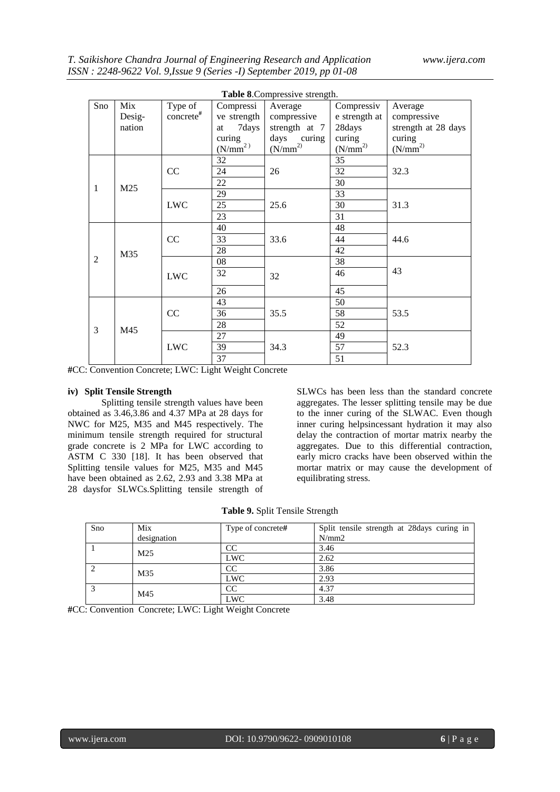| Table 8. Compressive strength. |            |                         |             |               |                      |                      |
|--------------------------------|------------|-------------------------|-------------|---------------|----------------------|----------------------|
| Sno                            | Mix        | Type of                 | Compressi   | Average       | Compressiv           | Average              |
|                                | Desig-     | $concrete$ <sup>#</sup> | ve strength | compressive   | e strength at        | compressive          |
|                                | nation     |                         | 7days<br>at | strength at 7 | 28days               | strength at 28 days  |
|                                |            |                         | curing      | days curing   | curing               | curing               |
|                                |            |                         | $(N/mm^2)$  | $(N/mm^{2)}$  | (N/mm <sup>2</sup> ) | (N/mm <sup>2</sup> ) |
|                                |            |                         | 32          |               | 35                   |                      |
|                                |            | CC                      | 24          | 26            | 32                   | 32.3                 |
| 1                              | M25        |                         | 22          |               | 30                   |                      |
|                                |            |                         | 29          |               | 33                   |                      |
|                                |            | <b>LWC</b>              | 25          | 25.6          | 30                   | 31.3                 |
|                                |            |                         | 23          |               | 31                   |                      |
|                                |            |                         | 40          |               | 48                   |                      |
| M35<br>$\overline{2}$          |            | CC                      | 33          | 33.6          | 44                   | 44.6                 |
|                                |            |                         | 28          |               | 42                   |                      |
|                                |            | 08                      |             | 38            |                      |                      |
|                                | <b>LWC</b> | 32                      | 32          | 46            | 43                   |                      |
|                                |            |                         | 26          |               | 45                   |                      |
|                                |            |                         | 43          |               | 50                   |                      |
| 3                              | M45        | CC                      | 36          | 35.5          | 58                   | 53.5                 |
|                                |            |                         | 28          |               | 52                   |                      |
|                                |            |                         | 27          |               | 49                   |                      |
|                                |            | <b>LWC</b>              | 39          | 34.3          | 57                   | 52.3                 |
|                                |            |                         | 37          |               | 51                   |                      |

**#**CC: Convention Concrete; LWC: Light Weight Concrete

#### **iv) Split Tensile Strength**

Splitting tensile strength values have been obtained as 3.46,3.86 and 4.37 MPa at 28 days for NWC for M25, M35 and M45 respectively. The minimum tensile strength required for structural grade concrete is 2 MPa for LWC according to ASTM C 330 [18]. It has been observed that Splitting tensile values for M25, M35 and M45 have been obtained as 2.62, 2.93 and 3.38 MPa at 28 daysfor SLWCs.Splitting tensile strength of SLWCs has been less than the standard concrete aggregates. The lesser splitting tensile may be due to the inner curing of the SLWAC. Even though inner curing helpsincessant hydration it may also delay the contraction of mortar matrix nearby the aggregates. Due to this differential contraction, early micro cracks have been observed within the mortar matrix or may cause the development of equilibrating stress.

**Table 9.** Split Tensile Strength

| Sno | Mix             | Type of concrete# | Split tensile strength at 28 days curing in |
|-----|-----------------|-------------------|---------------------------------------------|
|     | designation     |                   | N/mm2                                       |
|     | M <sub>25</sub> | CC                | 3.46                                        |
|     | <b>LWC</b>      | 2.62              |                                             |
|     | M35             | CC                | 3.86                                        |
|     | <b>LWC</b>      | 2.93              |                                             |
|     | M45             | <b>CC</b>         | 4.37                                        |
|     |                 | LWC               | 3.48                                        |

**#**CC: Convention Concrete; LWC: Light Weight Concrete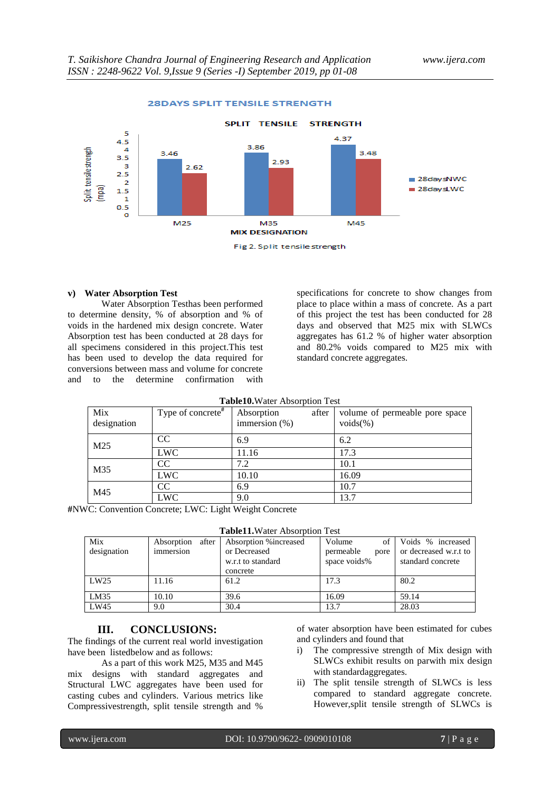

#### **28DAYS SPLIT TENSILE STRENGTH**

#### **v) Water Absorption Test**

 $\overline{M}$ 

Water Absorption Testhas been performed to determine density, % of absorption and % of voids in the hardened mix design concrete. Water Absorption test has been conducted at 28 days for all specimens considered in this project.This test has been used to develop the data required for conversions between mass and volume for concrete and to the determine confirmation with

specifications for concrete to show changes from place to place within a mass of concrete. As a part of this project the test has been conducted for 28 days and observed that M25 mix with SLWCs aggregates has 61.2 % of higher water absorption and 80.2% voids compared to M25 mix with standard concrete aggregates.

| <b>Table10.</b> Water Absorption Test    |  |  |                   |  |  |  |
|------------------------------------------|--|--|-------------------|--|--|--|
| Type of concrete <sup>#</sup> Absorption |  |  | after volume of p |  |  |  |

| Mix<br>designation | Type of concrete <sup>#</sup> | Absorption<br>immersion $(\%)$ | after | volume of permeable pore space<br>$\text{voids}(\%)$ |
|--------------------|-------------------------------|--------------------------------|-------|------------------------------------------------------|
| M <sub>25</sub>    | CC                            | 6.9                            |       | 6.2                                                  |
|                    | <b>LWC</b>                    | 11.16                          |       | 17.3                                                 |
| M35                | CC                            | 7.2                            |       | 10.1                                                 |
|                    | <b>LWC</b>                    | 10.10                          |       | 16.09                                                |
| M45                | CC                            | 6.9                            |       | 10.7                                                 |
|                    | <b>LWC</b>                    | 9.0                            |       | 13.7                                                 |

**#**NWC: Convention Concrete; LWC: Light Weight Concrete

|--|

| Mix         | after<br>Absorption | Absorption % increased | Volume<br>οf      | Voids % increased     |
|-------------|---------------------|------------------------|-------------------|-----------------------|
| designation | immersion           | or Decreased           | permeable<br>pore | or decreased w.r.t to |
|             |                     | w.r.t to standard      | space voids%      | standard concrete     |
|             |                     | concrete               |                   |                       |
| LW25        | 11.16               | 61.2                   | 17.3              | 80.2                  |
| LM35        | 10.10               | 39.6                   | 16.09             | 59.14                 |
| LW45        | 9.0                 | 30.4                   | 13.7              | 28.03                 |

## **III. CONCLUSIONS:**

The findings of the current real world investigation have been listedbelow and as follows:

As a part of this work M25, M35 and M45 mix designs with standard aggregates and Structural LWC aggregates have been used for casting cubes and cylinders. Various metrics like Compressivestrength, split tensile strength and %

of water absorption have been estimated for cubes and cylinders and found that

- i) The compressive strength of Mix design with SLWCs exhibit results on parwith mix design with standardaggregates.
- ii) The split tensile strength of SLWCs is less compared to standard aggregate concrete. However,split tensile strength of SLWCs is